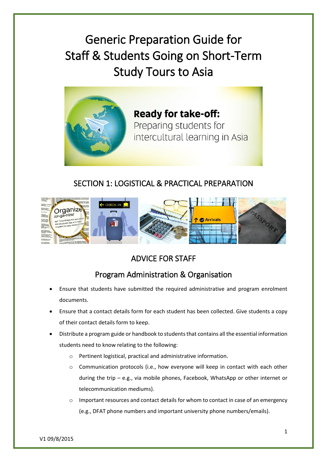Generic Preparation Guide for Staff & Students Going on Short-Term Study Tours to Asia



**Ready for take-off:** Preparing students for intercultural learning in Asia

### SECTION 1: LOGISTICAL & PRACTICAL PREPARATION



## ADVICE FOR STAFF

### Program Administration & Organisation

- Ensure that students have submitted the required administrative and program enrolment documents.
- Ensure that a contact details form for each student has been collected. Give students a copy of their contact details form to keep.
- Distribute a program guide or handbook to students that contains all the essential information students need to know relating to the following:
	- o Pertinent logistical, practical and administrative information.
	- o Communication protocols (i.e., how everyone will keep in contact with each other during the trip – e.g., via mobile phones, Facebook, WhatsApp or other internet or telecommunication mediums).
	- $\circ$  Important resources and contact details for whom to contact in case of an emergency (e.g., DFAT phone numbers and important university phone numbers/emails).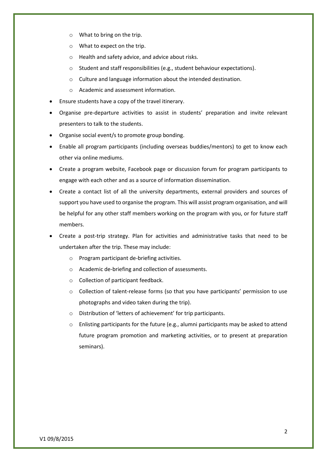- o What to bring on the trip.
- o What to expect on the trip.
- o Health and safety advice, and advice about risks.
- o Student and staff responsibilities (e.g., student behaviour expectations).
- o Culture and language information about the intended destination.
- o Academic and assessment information.
- Ensure students have a copy of the travel itinerary.
- Organise pre-departure activities to assist in students' preparation and invite relevant presenters to talk to the students.
- Organise social event/s to promote group bonding.
- Enable all program participants (including overseas buddies/mentors) to get to know each other via online mediums.
- Create a program website, Facebook page or discussion forum for program participants to engage with each other and as a source of information dissemination.
- Create a contact list of all the university departments, external providers and sources of support you have used to organise the program. This will assist program organisation, and will be helpful for any other staff members working on the program with you, or for future staff members.
- Create a post-trip strategy. Plan for activities and administrative tasks that need to be undertaken after the trip. These may include:
	- o Program participant de-briefing activities.
	- o Academic de-briefing and collection of assessments.
	- o Collection of participant feedback.
	- o Collection of talent-release forms (so that you have participants' permission to use photographs and video taken during the trip).
	- o Distribution of 'letters of achievement' for trip participants.
	- o Enlisting participants for the future (e.g., alumni participants may be asked to attend future program promotion and marketing activities, or to present at preparation seminars).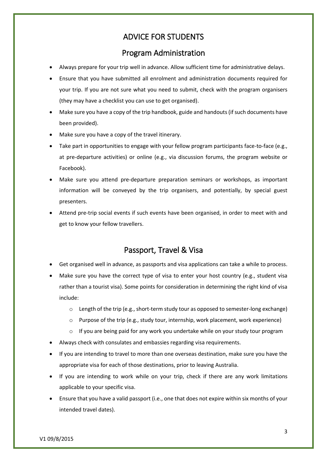### ADVICE FOR STUDENTS

#### Program Administration

- Always prepare for your trip well in advance. Allow sufficient time for administrative delays.
- Ensure that you have submitted all enrolment and administration documents required for your trip. If you are not sure what you need to submit, check with the program organisers (they may have a checklist you can use to get organised).
- Make sure you have a copy of the trip handbook, guide and handouts(if such documents have been provided).
- Make sure you have a copy of the travel itinerary.
- Take part in opportunities to engage with your fellow program participants face-to-face (e.g., at pre-departure activities) or online (e.g., via discussion forums, the program website or Facebook).
- Make sure you attend pre-departure preparation seminars or workshops, as important information will be conveyed by the trip organisers, and potentially, by special guest presenters.
- Attend pre-trip social events if such events have been organised, in order to meet with and get to know your fellow travellers.

#### Passport, Travel & Visa

- Get organised well in advance, as passports and visa applications can take a while to process.
- Make sure you have the correct type of visa to enter your host country (e.g., student visa rather than a tourist visa). Some points for consideration in determining the right kind of visa include:
	- $\circ$  Length of the trip (e.g., short-term study tour as opposed to semester-long exchange)
	- o Purpose of the trip (e.g., study tour, internship, work placement, work experience)
	- $\circ$  If you are being paid for any work you undertake while on your study tour program
- Always check with consulates and embassies regarding visa requirements.
- If you are intending to travel to more than one overseas destination, make sure you have the appropriate visa for each of those destinations, prior to leaving Australia.
- If you are intending to work while on your trip, check if there are any work limitations applicable to your specific visa.
- Ensure that you have a valid passport (i.e., one that does not expire within six months of your intended travel dates).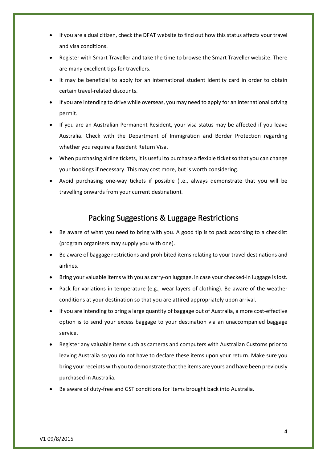- If you are a dual citizen, check the DFAT website to find out how this status affects your travel and visa conditions.
- Register with Smart Traveller and take the time to browse the Smart Traveller website. There are many excellent tips for travellers.
- It may be beneficial to apply for an international student identity card in order to obtain certain travel-related discounts.
- If you are intending to drive while overseas, you may need to apply for an international driving permit.
- If you are an Australian Permanent Resident, your visa status may be affected if you leave Australia. Check with the Department of Immigration and Border Protection regarding whether you require a Resident Return Visa.
- When purchasing airline tickets, it is useful to purchase a flexible ticket so that you can change your bookings if necessary. This may cost more, but is worth considering.
- Avoid purchasing one-way tickets if possible (i.e., always demonstrate that you will be travelling onwards from your current destination).

#### Packing Suggestions & Luggage Restrictions

- Be aware of what you need to bring with you. A good tip is to pack according to a checklist (program organisers may supply you with one).
- Be aware of baggage restrictions and prohibited items relating to your travel destinations and airlines.
- Bring your valuable items with you as carry-on luggage, in case your checked-in luggage is lost.
- Pack for variations in temperature (e.g., wear layers of clothing). Be aware of the weather conditions at your destination so that you are attired appropriately upon arrival.
- If you are intending to bring a large quantity of baggage out of Australia, a more cost-effective option is to send your excess baggage to your destination via an unaccompanied baggage service.
- Register any valuable items such as cameras and computers with Australian Customs prior to leaving Australia so you do not have to declare these items upon your return. Make sure you bring your receipts with you to demonstrate that the items are yours and have been previously purchased in Australia.
- Be aware of duty-free and GST conditions for items brought back into Australia.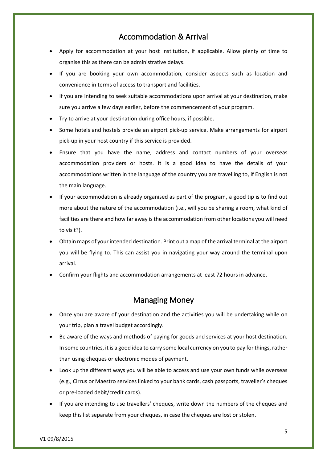### Accommodation & Arrival

- Apply for accommodation at your host institution, if applicable. Allow plenty of time to organise this as there can be administrative delays.
- If you are booking your own accommodation, consider aspects such as location and convenience in terms of access to transport and facilities.
- If you are intending to seek suitable accommodations upon arrival at your destination, make sure you arrive a few days earlier, before the commencement of your program.
- Try to arrive at your destination during office hours, if possible.
- Some hotels and hostels provide an airport pick-up service. Make arrangements for airport pick-up in your host country if this service is provided.
- Ensure that you have the name, address and contact numbers of your overseas accommodation providers or hosts. It is a good idea to have the details of your accommodations written in the language of the country you are travelling to, if English is not the main language.
- If your accommodation is already organised as part of the program, a good tip is to find out more about the nature of the accommodation (i.e., will you be sharing a room, what kind of facilities are there and how far away is the accommodation from other locations you will need to visit?).
- Obtain maps of your intended destination. Print out a map of the arrival terminal at the airport you will be flying to. This can assist you in navigating your way around the terminal upon arrival.
- Confirm your flights and accommodation arrangements at least 72 hours in advance.

#### Managing Money

- Once you are aware of your destination and the activities you will be undertaking while on your trip, plan a travel budget accordingly.
- Be aware of the ways and methods of paying for goods and services at your host destination. In some countries, it is a good idea to carry some local currency on you to pay for things, rather than using cheques or electronic modes of payment.
- Look up the different ways you will be able to access and use your own funds while overseas (e.g., Cirrus or Maestro services linked to your bank cards, cash passports, traveller's cheques or pre-loaded debit/credit cards).
- If you are intending to use travellers' cheques, write down the numbers of the cheques and keep this list separate from your cheques, in case the cheques are lost or stolen.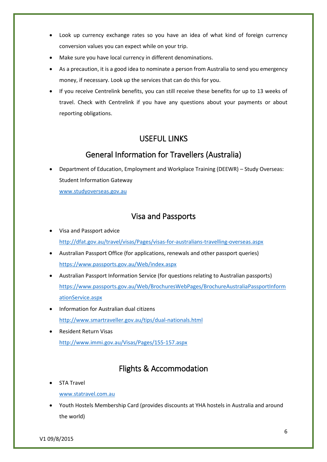- Look up currency exchange rates so you have an idea of what kind of foreign currency conversion values you can expect while on your trip.
- Make sure you have local currency in different denominations.
- As a precaution, it is a good idea to nominate a person from Australia to send you emergency money, if necessary. Look up the services that can do this for you.
- If you receive Centrelink benefits, you can still receive these benefits for up to 13 weeks of travel. Check with Centrelink if you have any questions about your payments or about reporting obligations.

### USEFUL LINKS

# General Information for Travellers (Australia)

 Department of Education, Employment and Workplace Training (DEEWR) – Study Overseas: Student Information Gateway

[www.studyoverseas.gov.au](http://www.studyoverseas.gov.au/)

#### Visa and Passports

- Visa and Passport advice <http://dfat.gov.au/travel/visas/Pages/visas-for-australians-travelling-overseas.aspx>
- Australian Passport Office (for applications, renewals and other passport queries) <https://www.passports.gov.au/Web/index.aspx>
- Australian Passport Information Service (for questions relating to Australian passports) [https://www.passports.gov.au/Web/BrochuresWebPages/BrochureAustraliaPassportInform](https://www.passports.gov.au/Web/BrochuresWebPages/BrochureAustraliaPassportInformationService.aspx) [ationService.aspx](https://www.passports.gov.au/Web/BrochuresWebPages/BrochureAustraliaPassportInformationService.aspx)
- Information for Australian dual citizens <http://www.smartraveller.gov.au/tips/dual-nationals.html>
- Resident Return Visas <http://www.immi.gov.au/Visas/Pages/155-157.aspx>

## Flights & Accommodation

STA Travel

[www.statravel.com.au](http://www.statravel.com.au/)

 Youth Hostels Membership Card (provides discounts at YHA hostels in Australia and around the world)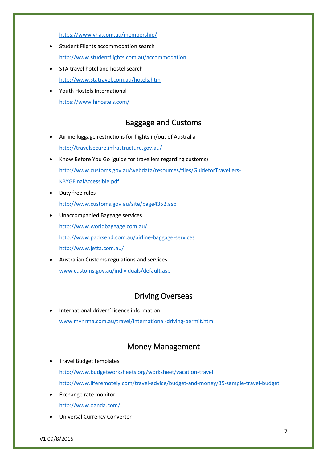<https://www.yha.com.au/membership/>

- Student Flights accommodation search <http://www.studentflights.com.au/accommodation>
- STA travel hotel and hostel search <http://www.statravel.com.au/hotels.htm>
- Youth Hostels International <https://www.hihostels.com/>

## Baggage and Customs

- Airline luggage restrictions for flights in/out of Australia <http://travelsecure.infrastructure.gov.au/>
- Know Before You Go (guide for travellers regarding customs) [http://www.customs.gov.au/webdata/resources/files/GuideforTravellers-](http://www.customs.gov.au/webdata/resources/files/GuideforTravellers-KBYGFinalAccessible.pdf)[KBYGFinalAccessible.pdf](http://www.customs.gov.au/webdata/resources/files/GuideforTravellers-KBYGFinalAccessible.pdf)
- Duty free rules <http://www.customs.gov.au/site/page4352.asp>
- Unaccompanied Baggage services <http://www.worldbaggage.com.au/> <http://www.packsend.com.au/airline-baggage-services> <http://www.jetta.com.au/>
- Australian Customs regulations and services [www.customs.gov.au/individuals/default.asp](http://www.customs.gov.au/individuals/default.asp)

# Driving Overseas

 International drivers' licence information [www.mynrma.com.au/travel/international-driving-permit.htm](http://www.mynrma.com.au/travel/international-driving-permit.htm)

## Money Management

- Travel Budget templates <http://www.budgetworksheets.org/worksheet/vacation-travel> <http://www.liferemotely.com/travel-advice/budget-and-money/35-sample-travel-budget>
- Exchange rate monitor <http://www.oanda.com/>
- Universal Currency Converter